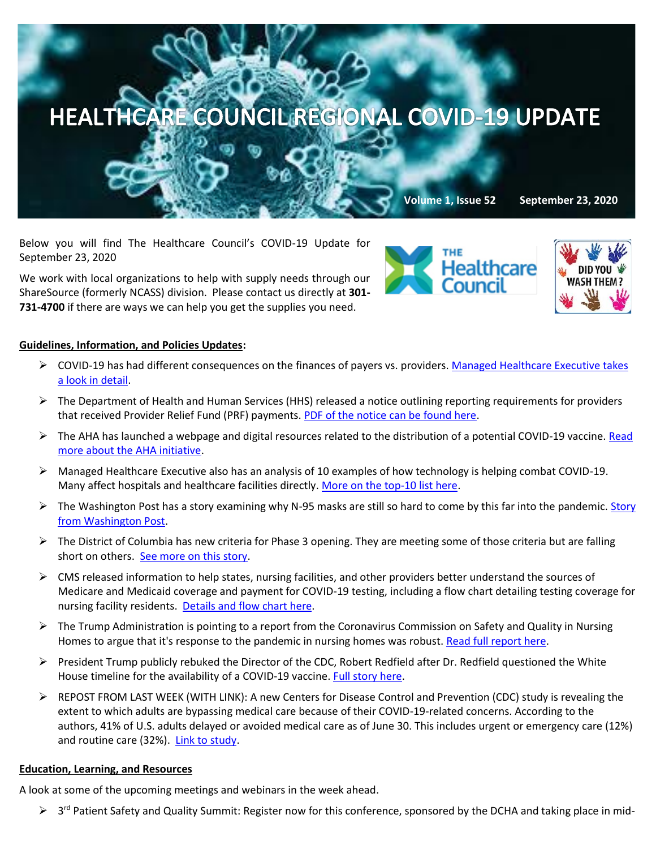

Below you will find The Healthcare Council's COVID-19 Update for September 23, 2020

We work with local organizations to help with supply needs through our ShareSource (formerly NCASS) division. Please contact us directly at **301- 731-4700** if there are ways we can help you get the supplies you need.

## **Guidelines, Information, and Policies Updates:**

- ➢ COVID-19 has had different consequences on the finances of payers vs. providers[. Managed Healthcare Executive takes](https://www.managedhealthcareexecutive.com/view/covid-19-imbalance?utm_source=sfmc​&utm_medium=email​&utm_campaign=09222020_UNSPONSORED_MHE_IA​​&eKey=bHBpdHRvbkBoZWFsdGhjYXJlLWNvdW5jaWwub3Jn)  [a look in detail.](https://www.managedhealthcareexecutive.com/view/covid-19-imbalance?utm_source=sfmc​&utm_medium=email​&utm_campaign=09222020_UNSPONSORED_MHE_IA​​&eKey=bHBpdHRvbkBoZWFsdGhjYXJlLWNvdW5jaWwub3Jn)
- ➢ The Department of Health and Human Services (HHS) released a notice outlining reporting requirements for providers that received Provider Relief Fund (PRF) payments. [PDF of the notice can be found here.](https://www.hhs.gov/sites/default/files/post-payment-notice-of-reporting-requirements.pdf)
- ➢ The AHA has launched a webpage and digital resources related to the distribution of a potential COVID-19 vaccine. [Read](https://contentsharing.net/actions/email_web_version.cfm?ep=Bdhtp-zVuqFkgQiV6-lxty0f-nrLBJWzuTngPvD-5dWW1aXs6rk8FmF4a4nUQ78HVbHHV9N3v7HdLaYqfqT5tiIwgIbnmdx7MCaumHMjDUZMkyYXm3324QZscH4pPWgj)  [more about the AHA initiative.](https://contentsharing.net/actions/email_web_version.cfm?ep=Bdhtp-zVuqFkgQiV6-lxty0f-nrLBJWzuTngPvD-5dWW1aXs6rk8FmF4a4nUQ78HVbHHV9N3v7HdLaYqfqT5tiIwgIbnmdx7MCaumHMjDUZMkyYXm3324QZscH4pPWgj)
- ➢ Managed Healthcare Executive also has an analysis of 10 examples of how technology is helping combat COVID-19. Many affect hospitals and healthcare facilities directly. [More on the top-10](https://www.managedhealthcareexecutive.com/view/10-ways-healthcare-tech-is-helping-combat-covid-19?utm_source=sfmc​&utm_medium=email​&utm_campaign=09222020_UNSPONSORED_MHE_IA​​&eKey=bHBpdHRvbkBoZWFsdGhjYXJlLWNvdW5jaWwub3Jn) list here.
- $\triangleright$  The Washington Post has a story examining why N-95 masks are still so hard to come by this far into the pandemic. Story [from Washington Post.](https://www.washingtonpost.com/graphics/2020/local/news/n-95-shortage-covid/?itid=sf_local&utm_campaign=wp_afternoon_buzz&utm_medium=email&utm_source=newsletter&wpisrc=nl_buzz&carta-url=https%3A%2F%2Fs2.washingtonpost.com%2Fcar-ln-tr%2F2bac80a%2F5f6909949d2fda2c369ca2ee%2F596a931dae7e8a0ef33fdc85%2F8%2F52%2F25777d995c0d7ec13aaae4f6931222fb)
- $\triangleright$  The District of Columbia has new criteria for Phase 3 opening. They are meeting some of those criteria but are falling short on others. [See more on this story.](https://www.washingtonpost.com/local/coronavirus-dc-maryland-virginia/2020/09/21/2e35441c-fc0d-11ea-b555-4d71a9254f4b_story.html?utm_campaign=wp_afternoon_buzz&utm_medium=email&utm_source=newsletter&wpisrc=nl_buzz&carta-url=https%3A%2F%2Fs2.washingtonpost.com%2Fcar-ln-tr%2F2bac80b%2F5f6909949d2fda2c369ca2ee%2F596a931dae7e8a0ef33fdc85%2F10%2F52%2F25777d995c0d7ec13aaae4f6931222fb)
- $\triangleright$  CMS released information to help states, nursing facilities, and other providers better understand the sources of Medicare and Medicaid coverage and payment for COVID-19 testing, including a flow chart detailing testing coverage for nursing facility residents. [Details and flow chart here.](https://edit.cms.gov/files/document/covid-medicare-payment-covid-19-viral-testing-flow-chart.pdf)
- $\triangleright$  The Trump Administration is pointing to a report from the Coronavirus Commission on Safety and Quality in Nursing Homes to argue that it's response to the pandemic in nursing homes was robust[. Read full report here.](https://edit.cms.gov/files/document/covid-final-nh-commission-report.pdf)
- $\triangleright$  President Trump publicly rebuked the Director of the CDC, Robert Redfield after Dr. Redfield questioned the White House timeline for the availability of a COVID-19 vaccine. [Full story here.](https://abcnews.go.com/Politics/trumps-rebuke-cdc-director-sows-confusion-vaccine-timeline/story?id=73071108)
- ➢ REPOST FROM LAST WEEK (WITH LINK): A new Centers for Disease Control and Prevention (CDC) study is revealing the extent to which adults are bypassing medical care because of their COVID-19-related concerns. According to the authors, 41% of U.S. adults delayed or avoided medical care as of June 30. This includes urgent or emergency care (12%) and routine care (32%). [Link to study.](https://www.cdc.gov/mmwr/volumes/69/wr/mm6936a4.htm)

## **Education, Learning, and Resources**

A look at some of the upcoming meetings and webinars in the week ahead.

> 3<sup>rd</sup> Patient Safety and Quality Summit: Register now for this conference, sponsored by the DCHA and taking place in mid-